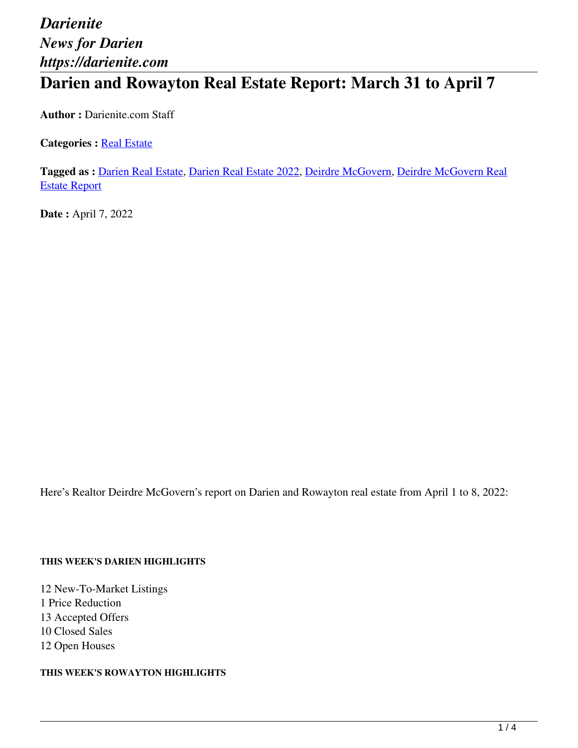# *Darienite News for Darien https://darienite.com* **Darien and Rowayton Real Estate Report: March 31 to April 7**

**Author :** Darienite.com Staff

**Categories : [Real Estate](https://darienite.com/category/real-estate)** 

**Tagged as :** Darien Real Estate, Darien Real Estate 2022, Deirdre McGovern, Deirdre McGovern Real Estate Report

**Date :** April 7, 2022

Here's Realtor Deirdre McGovern's report on Darien and Rowayton real estate from April 1 to 8, 2022:

#### **THIS WEEK'S DARIEN HIGHLIGHTS**

12 New-To-Market Listings 1 Price Reduction 13 Accepted Offers 10 Closed Sales 12 Open Houses

**THIS WEEK'S ROWAYTON HIGHLIGHTS**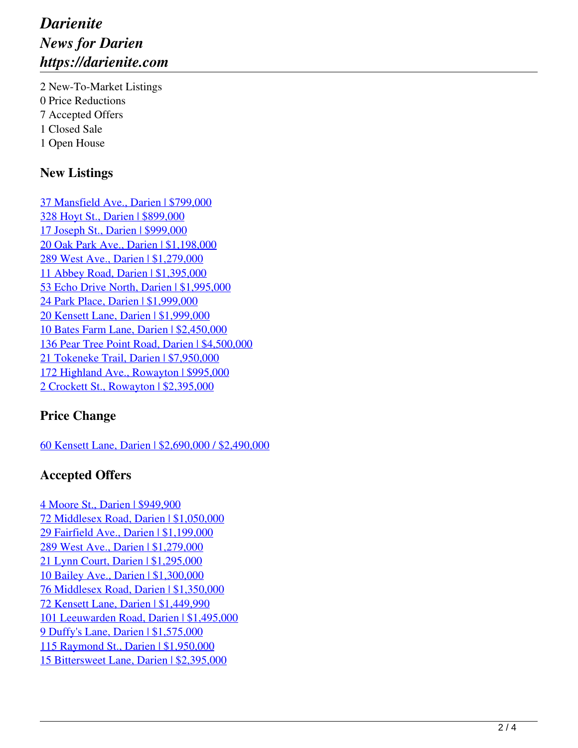## *Darienite News for Darien https://darienite.com*

2 New-To-Market Listings 0 Price Reductions 7 Accepted Offers 1 Closed Sale 1 Open House

#### **New Listings**

37 Mansfield Ave., Darien | \$799,000 328 Hoyt St., Darien | \$899,000 17 Joseph St., Darien | \$999,000 20 Oak Park Ave., Darien | \$1,198,000 289 West Ave., Darien | \$1,279,000 11 Abbey Road, Darien | \$1,395,000 53 Echo Drive North, Darien | \$1,995,000 24 Park Place, Darien | \$1,999,000 20 Kensett Lane, Darien | \$1,999,000 10 Bates Farm Lane, Darien | \$2,450,000 136 Pear Tree Point Road, Darien | \$4,500,000 21 Tokeneke Trail, Darien | \$7,950,000 172 Highland Ave., Rowayton | \$995,000 2 Crockett St., Rowayton | \$2,395,000

#### **Price Change**

60 Kensett Lane, Darien | \$2,690,000 / \$2,490,000

#### **Accepted Offers**

4 Moore St., Darien | \$949,900 72 Middlesex Road, Darien | \$1,050,000 29 Fairfield Ave., Darien | \$1,199,000 289 West Ave., Darien | \$1,279,000 21 Lynn Court, Darien | \$1,295,000 10 Bailey Ave., Darien | \$1,300,000 76 Middlesex Road, Darien | \$1,350,000 72 Kensett Lane, Darien | \$1,449,990 101 Leeuwarden Road, Darien | \$1,495,000 9 Duffy's Lane, Darien | \$1,575,000 115 Raymond St., Darien | \$1,950,000 15 Bittersweet Lane, Darien | \$2,395,000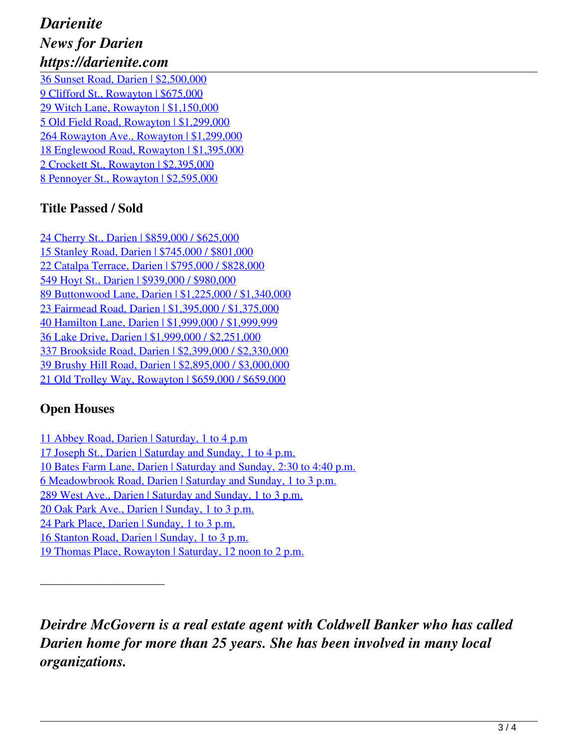## *Darienite News for Darien https://darienite.com*

36 Sunset Road, Darien | \$2,500,000 9 Clifford St., Rowayton | \$675,000 29 Witch Lane, Rowayton | \$1,150,000 5 Old Field Road, Rowayton | \$1,299,000 264 Rowayton Ave., Rowayton | \$1,299,000 18 Englewood Road, Rowayton | \$1,395,000 2 Crockett St., Rowayton | \$2,395,000 8 Pennoyer St., Rowayton | \$2,595,000

#### **Title Passed / Sold**

24 Cherry St., Darien | \$859,000 / \$625,000 15 Stanley Road, Darien | \$745,000 / \$801,000 22 Catalpa Terrace, Darien | \$795,000 / \$828,000 549 Hoyt St., Darien | \$939,000 / \$980,000 89 Buttonwood Lane, Darien | \$1,225,000 / \$1,340,000 23 Fairmead Road, Darien | \$1,395,000 / \$1,375,000 40 Hamilton Lane, Darien | \$1,999,000 / \$1,999,999 36 Lake Drive, Darien | \$1,999,000 / \$2,251,000 337 Brookside Road, Darien | \$2,399,000 / \$2,330,000 39 Brushy Hill Road, Darien | \$2,895,000 / \$3,000,000 21 Old Trolley Way, Rowayton | \$659,000 / \$659,000

### **Open Houses**

11 Abbey Road, Darien | Saturday, 1 to 4 p.m

17 Joseph St., Darien | Saturday and Sunday, 1 to 4 p.m.

10 Bates Farm Lane, Darien | Saturday and Sunday, 2:30 to 4:40 p.m.

6 Meadowbrook Road, Darien | Saturday and Sunday, 1 to 3 p.m.

289 West Ave., Darien | Saturday and Sunday, 1 to 3 p.m.

20 Oak Park Ave., Darien | Sunday, 1 to 3 p.m.

24 Park Place, Darien | Sunday, 1 to 3 p.m.

\_\_\_\_\_\_\_\_\_\_\_\_\_\_\_\_\_\_\_\_\_\_

16 Stanton Road, Darien | Sunday, 1 to 3 p.m.

19 Thomas Place, Rowayton | Saturday, 12 noon to 2 p.m.

*Deirdre McGovern is a real estate agent with Coldwell Banker who has called Darien home for more than 25 years. She has been involved in many local organizations.*